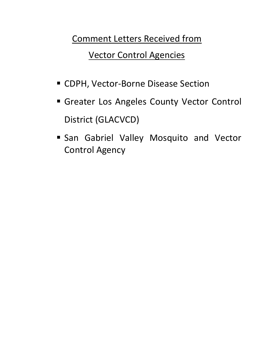Comment Letters Received from

Vector Control Agencies

- **E** CDPH, Vector-Borne Disease Section
- **Greater Los Angeles County Vector Control** District (GLACVCD)
- **San Gabriel Valley Mosquito and Vector** Control Agency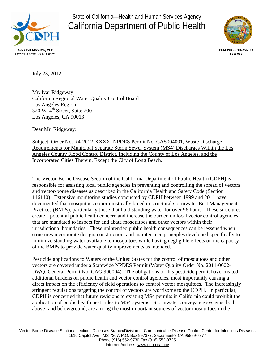

# State of California—Health and Human Services Agency California Department of Public Health



July 23, 2012

Mr. Ivar Ridgeway California Regional Water Quality Control Board Los Angeles Region  $320 \text{ W}$ .  $4^{\text{th}}$  Street, Suite 200 Los Angeles, CA 90013

Dear Mr. Ridgeway:

Subject: Order No. R4-2012-XXXX, NPDES Permit No. CAS004001, Waste Discharge Requirements for Municipal Separate Storm Sewer System (MS4) Discharges Within the Los Angeles County Flood Control District, Including the County of Los Angeles, and the Incorporated Cities Therein, Except the City of Long Beach.

The Vector-Borne Disease Section of the California Department of Public Health (CDPH) is responsible for assisting local public agencies in preventing and controlling the spread of vectors and vector-borne diseases as described in the California Health and Safety Code (Section 116110). Extensive monitoring studies conducted by CDPH between 1999 and 2011 have documented that mosquitoes opportunistically breed in structural stormwater Best Management Practices (BMPs), particularly those that hold standing water for over 96 hours. These structures create a potential public health concern and increase the burden on local vector control agencies that are mandated to inspect for and abate mosquitoes and other vectors within their jurisdictional boundaries. These unintended public health consequences can be lessened when structures incorporate design, construction, and maintenance principles developed specifically to minimize standing water available to mosquitoes while having negligible effects on the capacity of the BMPs to provide water quality improvements as intended.

Pesticide applications to Waters of the United States for the control of mosquitoes and other vectors are covered under a Statewide NPDES Permit (Water Quality Order No. 2011-0002- DWQ, General Permit No. CAG 990004). The obligations of this pesticide permit have created additional burdens on public health and vector control agencies, most importantly causing a direct impact on the efficiency of field operations to control vector mosquitoes. The increasingly stringent regulations targeting the control of vectors are worrisome to the CDPH. In particular, CDPH is concerned that future revisions to existing MS4 permits in California could prohibit the application of public health pesticides to MS4 systems. Stormwater conveyance systems, both above- and belowground, are among the most important sources of vector mosquitoes in the

Vector-Borne Disease Section/Infectious Diseases Branch/Division of Communicable Disease Control/Center for Infectious Diseases 1616 Capitol Ave., MS 7307, P.O. Box 997377, Sacramento, CA 95899-7377 Phone (916) 552-9730 Fax (916) 552-9725 Internet Address: www.cdph.ca.gov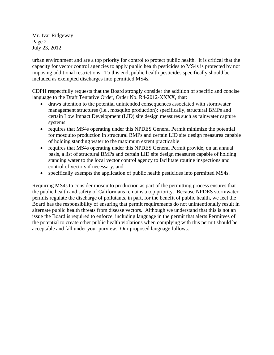Mr. Ivar Ridgeway Page 2 July 23, 2012

urban environment and are a top priority for control to protect public health. It is critical that the capacity for vector control agencies to apply public health pesticides to MS4s is protected by not imposing additional restrictions. To this end, public health pesticides specifically should be included as exempted discharges into permitted MS4s.

CDPH respectfully requests that the Board strongly consider the addition of specific and concise language to the Draft Tentative Order, Order No. R4-2012-XXXX, that:

- draws attention to the potential unintended consequences associated with stormwater management structures (i.e., mosquito production); specifically, structural BMPs and certain Low Impact Development (LID) site design measures such as rainwater capture systems
- requires that MS4s operating under this NPDES General Permit minimize the potential for mosquito production in structural BMPs and certain LID site design measures capable of holding standing water to the maximum extent practicable
- requires that MS4s operating under this NPDES General Permit provide, on an annual basis, a list of structural BMPs and certain LID site design measures capable of holding standing water to the local vector control agency to facilitate routine inspections and control of vectors if necessary, and
- specifically exempts the application of public health pesticides into permitted MS4s.

Requiring MS4s to consider mosquito production as part of the permitting process ensures that the public health and safety of Californians remains a top priority. Because NPDES stormwater permits regulate the discharge of pollutants, in part, for the benefit of public health, we feel the Board has the responsibility of ensuring that permit requirements do not unintentionally result in alternate public health threats from disease vectors. Although we understand that this is not an issue the Board is required to enforce, including language in the permit that alerts Permitees of the potential to create other public health violations when complying with this permit should be acceptable and fall under your purview. Our proposed language follows.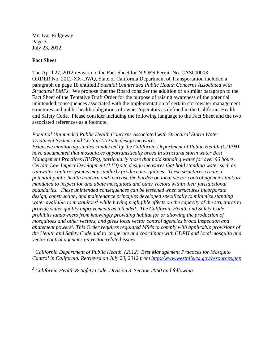Mr. Ivar Ridgeway Page 3 July 23, 2012

#### **Fact Sheet**

The April 27, 2012 revision to the Fact Sheet for NPDES Permit No. CAS000003 ORDER No. 2012-XX-DWQ, State of California Department of Transportation included a paragraph on page 18 entitled *Potential Unintended Public Health Concerns Associated with Structural BMPs.* We propose that the Board consider the addition of a similar paragraph to the Fact Sheet of the Tentative Draft Order for the purpose of raising awareness of the potential unintended consequences associated with the implementation of certain stormwater management structures and public health obligations of owner /operators as defined in the California Health and Safety Code. Please consider including the following language to the Fact Sheet and the two associated references as a footnote.

#### *Potential Unintended Public Health Concerns Associated with Structural Storm Water Treatment Systems and Certain LID site design measures.*

*Extensive monitoring studies conducted by the California Department of Public Health (CDPH) have documented that mosquitoes opportunistically breed in structural storm water Best Management Practices (BMPs), particularly those that hold standing water for over 96 hours. Certain Low Impact Development (LID) site design measures that hold standing water such as rainwater capture systems may similarly produce mosquitoes. These structures create a potential public health concern and increase the burden on local vector control agencies that are mandated to inspect for and abate mosquitoes and other vectors within their jurisdictional boundaries. These unintended consequences can be lessened when structures incorporate design, construction, and maintenance principles developed specifically to minimize standing*  water available to mosquitoes<sup>1</sup> while having negligible effects on the capacity of the structures to *provide water quality improvements as intended. The California Health and Safety Code prohibits landowners from knowingly providing habitat for or allowing the production of mosquitoes and other vectors, and gives local vector control agencies broad inspection and abatement powers2 . This Order requires regulated MS4s to comply with applicable provisions of the Health and Safety Code and to cooperate and coordinate with CDPH and local mosquito and vector control agencies on vector-related issues.* 

<sup>1</sup> California Department of Public Health. (2012). Best Management Practices for Mosquito *Control in California. Retrieved on July 20, 2012 from http://www.westnile.ca.gov/resources.php*

<sup>2</sup> California Health & Safety Code, Division 3, Section 2060 and following.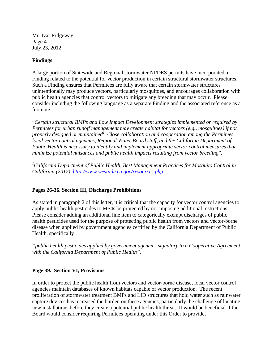Mr. Ivar Ridgeway Page 4 July 23, 2012

### **Findings**

A large portion of Statewide and Regional stormwater NPDES permits have incorporated a Finding related to the potential for vector production in certain structural stormwater structures. Such a Finding ensures that Permitees are fully aware that certain stormwater structures unintentionally may produce vectors, particularly mosquitoes, and encourages collaboration with public health agencies that control vectors to mitigate any breeding that may occur. Please consider including the following language as a separate Finding and the associated reference as a footnote.

"*Certain structural BMPs and Low Impact Development strategies implemented or required by Permitees for urban runoff management may create habitat for vectors (e.g., mosquitoes) if not properly designed or maintained1 . Close collaboration and cooperation among the Permitees, local vector control agencies, Regional Water Board staff, and the California Department of Public Health is necessary to identify and implement appropriate vector control measures that minimize potential nuisances and public health impacts resulting from vector breeding*".

*1 California Department of Public Health, Best Management Practices for Mosquito Control in California (2012), http://www.westnile.ca.gov/resources.php*

### **Pages 26-36. Section III, Discharge Prohibitions**

As stated in paragraph 2 of this letter, it is critical that the capacity for vector control agencies to apply public health pesticides to MS4s be protected by not imposing additional restrictions. Please consider adding an additional line item to categorically exempt discharges of public health pesticides used for the purpose of protecting public health from vectors and vector-borne disease when applied by government agencies certified by the California Department of Public Health, specifically

*"public health pesticides applied by government agencies signatory to a Cooperative Agreement with the California Department of Public Health".*

#### **Page 39. Section VI, Provisions**

In order to protect the public health from vectors and vector-borne disease, local vector control agencies maintain databases of known habitats capable of vector production. The recent proliferation of stormwater treatment BMPs and LID structures that hold water such as rainwater capture devices has increased the burden on these agencies, particularly the challenge of locating new installations before they create a potential public health threat. It would be beneficial if the Board would consider requiring Permitees operating under this Order to provide,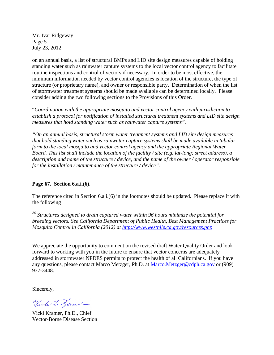Mr. Ivar Ridgeway Page 5 July 23, 2012

on an annual basis, a list of structural BMPs and LID site design measures capable of holding standing water such as rainwater capture systems to the local vector control agency to facilitate routine inspections and control of vectors if necessary. In order to be most effective, the minimum information needed by vector control agencies is location of the structure, the type of structure (or proprietary name), and owner or responsible party. Determination of when the list of stormwater treatment systems should be made available can be determined locally. Please consider adding the two following sections to the Provisions of this Order.

"*Coordination with the appropriate mosquito and vector control agency with jurisdiction to establish a protocol for notification of installed structural treatment systems and LID site design measures that hold standing water such as rainwater capture systems".* 

*"On an annual basis, structural storm water treatment systems and LID site design measures that hold standing water such as rainwater capture systems shall be made available in tabular form to the local mosquito and vector control agency and the appropriate Regional Water Board. This list shall include the location of the facility / site (e.g. lat-long; street address), a description and name of the structure / device, and the name of the owner / operator responsible for the installation / maintenance of the structure / device".* 

#### **Page 67. Section 6.a.i.(6).**

The reference cited in Section 6.a.i.(6) in the footnotes should be updated. Please replace it with the following

*26 Structures designed to drain captured water within 96 hours minimize the potential for breeding vectors. See California Department of Public Health, Best Management Practices for Mosquito Control in California (2012) at http://www.westnile.ca.gov/resources.php*

We appreciate the opportunity to comment on the revised draft Water Quality Order and look forward to working with you in the future to ensure that vector concerns are adequately addressed in stormwater NPDES permits to protect the health of all Californians. If you have any questions, please contact Marco Metzger, Ph.D. at Marco.Metzger@cdph.ca.gov or (909) 937-3448.

Sincerely,

Vichi L. Zamer

Vicki Kramer, Ph.D., Chief Vector-Borne Disease Section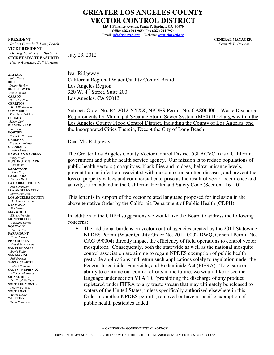# **GREATER LOS ANGELES COUNTY VECTOR CONTROL DISTRICT**

**12545 Florence Avenue, Santa Fe Springs, CA 90670 Office (562) 944-9656 Fax (562) 944-7976**  Email: **info@glacvcd.org** Website: **www.glacvcd.org**

**PRESIDENT GENERAL MANAGER** 

 *Robert Campbell, Long Beach Kenneth L. Bayless* **VICE PRESIDENT**  *Dr. Jeff D. Wassem, Burbank*  **SECRETARY-TREASURER**  *Pedro Aceituno, Bell Gardens* 

**ARTESIA** *Sally Flowers*  **BELL**  *Danny Harber* **BELLFLOWER**   *Ray T. Smith*  **CARSON**  *Harold Williams*  **CERRITOS**  *Mark W. Bollman*  **COMMERCE** *Tina Baca Del Rio*  **CUDAHY** *Mison Levi*  **DIAMOND BAR**  *Steve Tye*  **DOWNEY**   *Roger C. Brossmer* **GARDENA**  *Rachel C. Johnson*  **GLENDALE**  *Armine Perian*  **HAWAIIAN GARDENS**  *Barry Bruce*  **HUNTINGTON PARK**  *Elba Romo*  **LAKEWOOD**   *Steve Croft* **LA MIRADA**   *Pauline Deal*  **LA HABRA HEIGHTS** *Jim Remington* **LOS ANGELES CITY**  *Steven Appleton*  **LOS ANGELES COUNTY**  *Dr. James Lawson*  **LYNWOOD**  *Jim Morton*  **MAYWOOD**  *Edward Varela*  **MONTEBELLO**  *Christina Cortez*  **NORWALK**   *Cheri Kelley*  **PARAMOUNT**  *Tom Hansen*  **PICO RIVERA**   *David W. Armenta* **SAN FERNANDO**  *Sylvia Ballin*  **SAN MARINO**  *Jeff Groseth*  **SANTA CLARITA**  *Robert Newman*  **SANTA FE SPRINGS**   *Michael Madrigal*  **SIGNAL HILL**   *Dr. Hazel Wallace*  **SOUTH EL MONTE**  *Hector Delgado*  **SOUTH GATE**  *Maria Davila*  **WHITTIER**   *Owen Newcomer*

July 23, 2012

Ivar Ridgeway California Regional Water Quality Control Board Los Angeles Region 320 W. 4th Street, Suite 200 Los Angeles, CA 90013

Subject: Order No. R4-2012-XXXX, NPDES Permit No. CAS004001, Waste Discharge Requirements for Municipal Separate Storm Sewer System (MS4) Discharges within the Los Angeles County Flood Control District, Including the County of Los Angeles, and the Incorporated Cities Therein, Except the City of Long Beach

Dear Mr. Ridgeway:

The Greater Los Angeles County Vector Control District (GLACVCD) is a California government and public health service agency. Our mission is to reduce populations of public health vectors (mosquitoes, black flies and midges) below nuisance levels, prevent human infection associated with mosquito-transmitted diseases, and prevent the loss of property values and commercial enterprise as the result of vector occurrence and activity, as mandated in the California Health and Safety Code (Section 116110).

This letter is in support of the vector related language proposed for inclusion in the above tentative Order by the California Department of Public Health (CDPH).

In addition to the CDPH suggestions we would like the Board to address the following concerns:

public health pesticides added The additional burdens on vector control agencies created by the 2011 Statewide NPDES Permit (Water Quality Order No. 2011-0002-DWQ, General Permit No. CAG 990004) directly impact the efficiency of field operations to control vector mosquitoes. Consequently, both the statewide as well as the national mosquito control association are aiming to regain NPDES exemption of public health pesticide applications and return such applications solely to regulation under the Federal Insecticide, Fungicide, and Rodenticide Act (FIFRA). To ensure our ability to continue our control efforts in the future, we would like to see the language under section VI.A 10. "prohibiting the discharge of any product registered under FIFRA to any waste stream that may ultimately be released to waters of the United States, unless specifically authorized elsewhere in this Order or another NPDES permit", removed or have a specific exemption of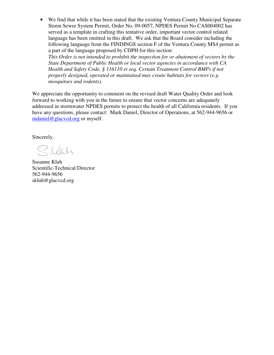• We find that while it has been stated that the existing Ventura County Municipal Separate Storm Sewer System Permit, Order No. 09-0057, NPDES Permit No CAS004002 has served as a template in crafting this tentative order, important vector control related language has been omitted in this draft. We ask that the Board consider including the following language from the FINDINGS section F of the Ventura County MS4 permit as a part of the language proposed by CDPH for this section:

*This Order is not intended to prohibit the inspection for or abatement of vectors by the State Department of Public Health or local vector agencies in accordance with CA Health and Safety Code, § 116110 et seq. Certain Treatment Control BMPs if not properly designed, operated or maintained may create habitats for vectors (e.g. mosquitoes and rodents).* 

We appreciate the opportunity to comment on the revised draft Water Quality Order and look forward to working with you in the future to ensure that vector concerns are adequately addressed in stormwater NPDES permits to protect the health of all California residents. If you have any questions, please contact: Mark Daniel, Director of Operations, at 562-944-9656 or mdaniel@glacvcd.org or myself.

Sincerely,

Silah

Susanne Kluh Scientific-Technical Director 562-944-9656 skluh@glacvcd.org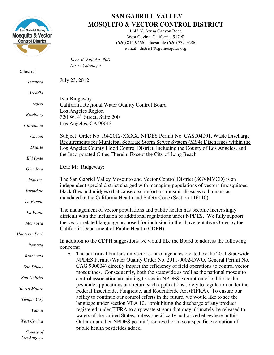

*Los Angeles* 

# **SAN GABRIEL VALLEY MOSQUITO & VECTOR CONTROL DISTRICT**

1145 N. Azusa Canyon Road West Covina, California 91790 (626) 814-9466 facsimile (626) 337-5686 e-mail: district@sgvmosquito.org

|                      | Kenn K. Fujioka, PhD                                                                                                                                                    |
|----------------------|-------------------------------------------------------------------------------------------------------------------------------------------------------------------------|
| Cities of:           | <b>District Manager</b>                                                                                                                                                 |
| Alhambra             | July 23, 2012                                                                                                                                                           |
| Arcadia              |                                                                                                                                                                         |
| Azusa                | Ivar Ridgeway<br>California Regional Water Quality Control Board                                                                                                        |
| <b>Bradbury</b>      | Los Angeles Region<br>320 W. 4 <sup>th</sup> Street, Suite 200                                                                                                          |
| Claremont            | Los Angeles, CA 90013                                                                                                                                                   |
| Covina               | Subject: Order No. R4-2012-XXXX, NPDES Permit No. CAS004001, Waste Discharge<br>Requirements for Municipal Separate Storm Sewer System (MS4) Discharges within the      |
| Duarte               | Los Angeles County Flood Control District, Including the County of Los Angeles, and                                                                                     |
| El Monte             | the Incorporated Cities Therein, Except the City of Long Beach                                                                                                          |
| Glendora             | Dear Mr. Ridgeway:                                                                                                                                                      |
| Industry             | The San Gabriel Valley Mosquito and Vector Control District (SGVMVCD) is an<br>independent special district charged with managing populations of vectors (mosquitoes,   |
| <i>Irwindale</i>     | black flies and midges) that cause discomfort or transmit diseases to humans as                                                                                         |
| La Puente            | mandated in the California Health and Safety Code (Section 116110).                                                                                                     |
| La Verne             | The management of vector populations and public health has become increasingly<br>difficult with the inclusion of additional regulations under NPDES. We fully support  |
| Monrovia             | the vector related language proposed for inclusion in the above tentative Order by the<br>California Department of Public Health (CDPH).                                |
| <b>Monterey Park</b> |                                                                                                                                                                         |
| Pomona               | In addition to the CDPH suggestions we would like the Board to address the following<br>concerns:                                                                       |
| Rosemead             | The additional burdens on vector control agencies created by the 2011 Statewide<br>$\bullet$<br>NPDES Permit (Water Quality Order No. 2011-0002-DWQ, General Permit No. |
| San Dimas            | CAG 990004) directly impact the efficiency of field operations to control vector<br>mosquitoes. Consequently, both the statewide as well as the national mosquito       |
| San Gabriel          | control association are aiming to regain NPDES exemption of public health                                                                                               |
| Sierra Madre         | pesticide applications and return such applications solely to regulation under the<br>Federal Insecticide, Fungicide, and Rodenticide Act (FIFRA). To ensure our        |
| Temple City          | ability to continue our control efforts in the future, we would like to see the<br>language under section VI.A 10. "prohibiting the discharge of any product            |
| Walnut               | registered under FIFRA to any waste stream that may ultimately be released to<br>waters of the United States, unless specifically authorized elsewhere in this          |
| West Covina          | Order or another NPDES permit", removed or have a specific exemption of<br>public health pesticides added.                                                              |
| County of            |                                                                                                                                                                         |